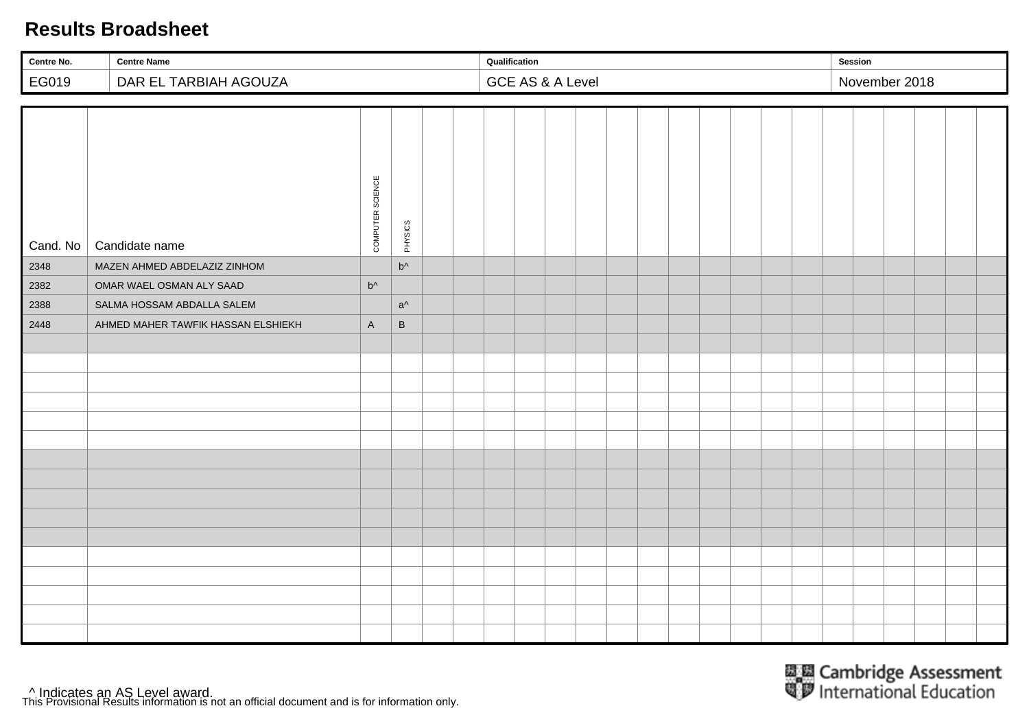| Centre No. | <b>Centre Name</b>                 |                  |              | Qualification |                             |  |  | Session |               |  |  |
|------------|------------------------------------|------------------|--------------|---------------|-----------------------------|--|--|---------|---------------|--|--|
| EG019      | DAR EL TARBIAH AGOUZA              |                  |              |               | <b>GCE AS &amp; A Level</b> |  |  |         | November 2018 |  |  |
|            |                                    |                  |              |               |                             |  |  |         |               |  |  |
| Cand. No   | Candidate name                     | COMPUTER SCIENCE | PHYSICS      |               |                             |  |  |         |               |  |  |
| 2348       | MAZEN AHMED ABDELAZIZ ZINHOM       |                  | $b^{\wedge}$ |               |                             |  |  |         |               |  |  |
| 2382       | OMAR WAEL OSMAN ALY SAAD           | $b^{\wedge}$     |              |               |                             |  |  |         |               |  |  |
| 2388       | SALMA HOSSAM ABDALLA SALEM         |                  | $a^{\wedge}$ |               |                             |  |  |         |               |  |  |
| 2448       | AHMED MAHER TAWFIK HASSAN ELSHIEKH | $\mathsf A$      | $\, {\sf B}$ |               |                             |  |  |         |               |  |  |
|            |                                    |                  |              |               |                             |  |  |         |               |  |  |
|            |                                    |                  |              |               |                             |  |  |         |               |  |  |
|            |                                    |                  |              |               |                             |  |  |         |               |  |  |
|            |                                    |                  |              |               |                             |  |  |         |               |  |  |
|            |                                    |                  |              |               |                             |  |  |         |               |  |  |
|            |                                    |                  |              |               |                             |  |  |         |               |  |  |
|            |                                    |                  |              |               |                             |  |  |         |               |  |  |
|            |                                    |                  |              |               |                             |  |  |         |               |  |  |
|            |                                    |                  |              |               |                             |  |  |         |               |  |  |
|            |                                    |                  |              |               |                             |  |  |         |               |  |  |
|            |                                    |                  |              |               |                             |  |  |         |               |  |  |
|            |                                    |                  |              |               |                             |  |  |         |               |  |  |
|            |                                    |                  |              |               |                             |  |  |         |               |  |  |
|            |                                    |                  |              |               |                             |  |  |         |               |  |  |
|            |                                    |                  |              |               |                             |  |  |         |               |  |  |
|            |                                    |                  |              |               |                             |  |  |         |               |  |  |

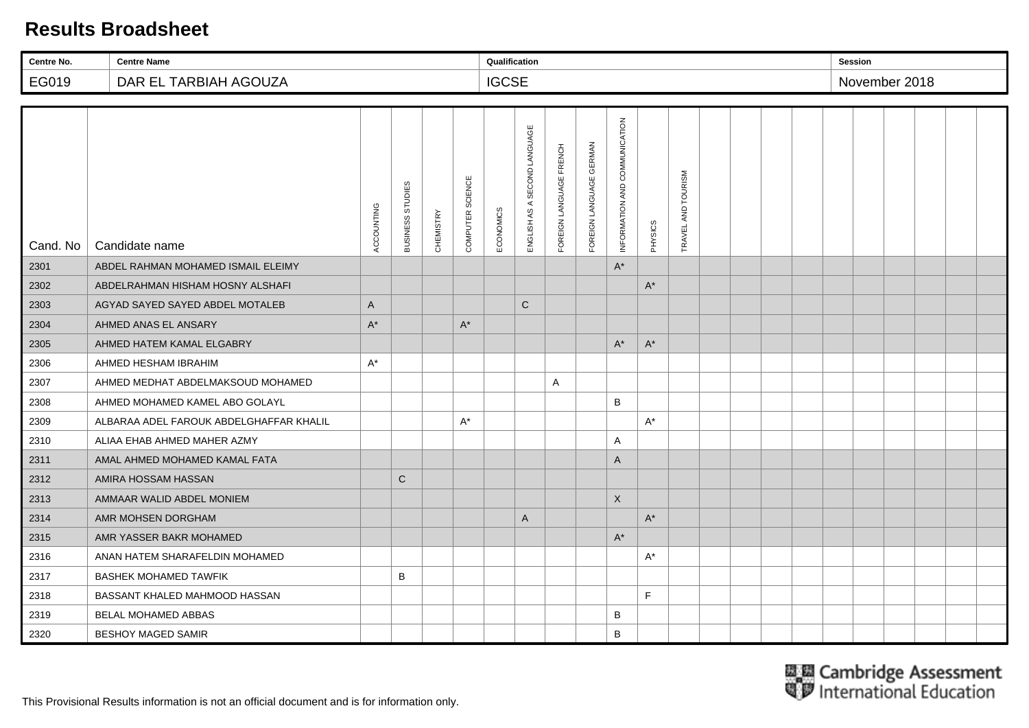| Centre No. | <b>Centre Name</b>                      |            |                  |           |                  | Qualification |                              |                         |                         |                               |                      |                    |  |  | <b>Session</b> |  |  |
|------------|-----------------------------------------|------------|------------------|-----------|------------------|---------------|------------------------------|-------------------------|-------------------------|-------------------------------|----------------------|--------------------|--|--|----------------|--|--|
| EG019      | DAR EL TARBIAH AGOUZA                   |            |                  |           |                  | <b>IGCSE</b>  |                              |                         |                         |                               |                      |                    |  |  | November 2018  |  |  |
|            |                                         |            |                  |           |                  |               |                              |                         |                         |                               |                      |                    |  |  |                |  |  |
| Cand. No   | Candidate name                          | ACCOUNTING | BUSINESS STUDIES | CHEMISTRY | COMPUTER SCIENCE | ECONOMICS     | ENGLISH AS A SECOND LANGUAGE | FOREIGN LANGUAGE FRENCH | FOREIGN LANGUAGE GERMAN | INFORMATION AND COMMUNICATION | PHYSICS              | TRAVEL AND TOURISM |  |  |                |  |  |
| 2301       | ABDEL RAHMAN MOHAMED ISMAIL ELEIMY      |            |                  |           |                  |               |                              |                         |                         | $A^*$                         |                      |                    |  |  |                |  |  |
| 2302       | ABDELRAHMAN HISHAM HOSNY ALSHAFI        |            |                  |           |                  |               |                              |                         |                         |                               | $A^*$                |                    |  |  |                |  |  |
| 2303       | AGYAD SAYED SAYED ABDEL MOTALEB         | A          |                  |           |                  |               | $\mathsf{C}$                 |                         |                         |                               |                      |                    |  |  |                |  |  |
| 2304       | AHMED ANAS EL ANSARY                    | $A^*$      |                  |           | $A^*$            |               |                              |                         |                         |                               |                      |                    |  |  |                |  |  |
| 2305       | AHMED HATEM KAMAL ELGABRY               |            |                  |           |                  |               |                              |                         |                         | $A^*$                         | $A^*$                |                    |  |  |                |  |  |
| 2306       | AHMED HESHAM IBRAHIM                    | $A^*$      |                  |           |                  |               |                              |                         |                         |                               |                      |                    |  |  |                |  |  |
| 2307       | AHMED MEDHAT ABDELMAKSOUD MOHAMED       |            |                  |           |                  |               |                              | Α                       |                         |                               |                      |                    |  |  |                |  |  |
| 2308       | AHMED MOHAMED KAMEL ABO GOLAYL          |            |                  |           |                  |               |                              |                         |                         | B                             |                      |                    |  |  |                |  |  |
| 2309       | ALBARAA ADEL FAROUK ABDELGHAFFAR KHALIL |            |                  |           | $A^*$            |               |                              |                         |                         |                               | $A^*$                |                    |  |  |                |  |  |
| 2310       | ALIAA EHAB AHMED MAHER AZMY             |            |                  |           |                  |               |                              |                         |                         | Α                             |                      |                    |  |  |                |  |  |
| 2311       | AMAL AHMED MOHAMED KAMAL FATA           |            |                  |           |                  |               |                              |                         |                         | A                             |                      |                    |  |  |                |  |  |
| 2312       | AMIRA HOSSAM HASSAN                     |            | $\mathsf{C}$     |           |                  |               |                              |                         |                         |                               |                      |                    |  |  |                |  |  |
| 2313       | AMMAAR WALID ABDEL MONIEM               |            |                  |           |                  |               |                              |                         |                         | $\boldsymbol{\mathsf{X}}$     |                      |                    |  |  |                |  |  |
| 2314       | AMR MOHSEN DORGHAM                      |            |                  |           |                  |               | A                            |                         |                         |                               | $\mathsf{A}^{\star}$ |                    |  |  |                |  |  |
| 2315       | AMR YASSER BAKR MOHAMED                 |            |                  |           |                  |               |                              |                         |                         | $A^*$                         |                      |                    |  |  |                |  |  |
| 2316       | ANAN HATEM SHARAFELDIN MOHAMED          |            |                  |           |                  |               |                              |                         |                         |                               | $A^*$                |                    |  |  |                |  |  |
| 2317       | <b>BASHEK MOHAMED TAWFIK</b>            |            | B                |           |                  |               |                              |                         |                         |                               |                      |                    |  |  |                |  |  |
| 2318       | BASSANT KHALED MAHMOOD HASSAN           |            |                  |           |                  |               |                              |                         |                         |                               | E                    |                    |  |  |                |  |  |
| 2319       | <b>BELAL MOHAMED ABBAS</b>              |            |                  |           |                  |               |                              |                         |                         | B                             |                      |                    |  |  |                |  |  |
| 2320       | <b>BESHOY MAGED SAMIR</b>               |            |                  |           |                  |               |                              |                         |                         | B                             |                      |                    |  |  |                |  |  |

This Provisional Results information is not an official document and is for information only.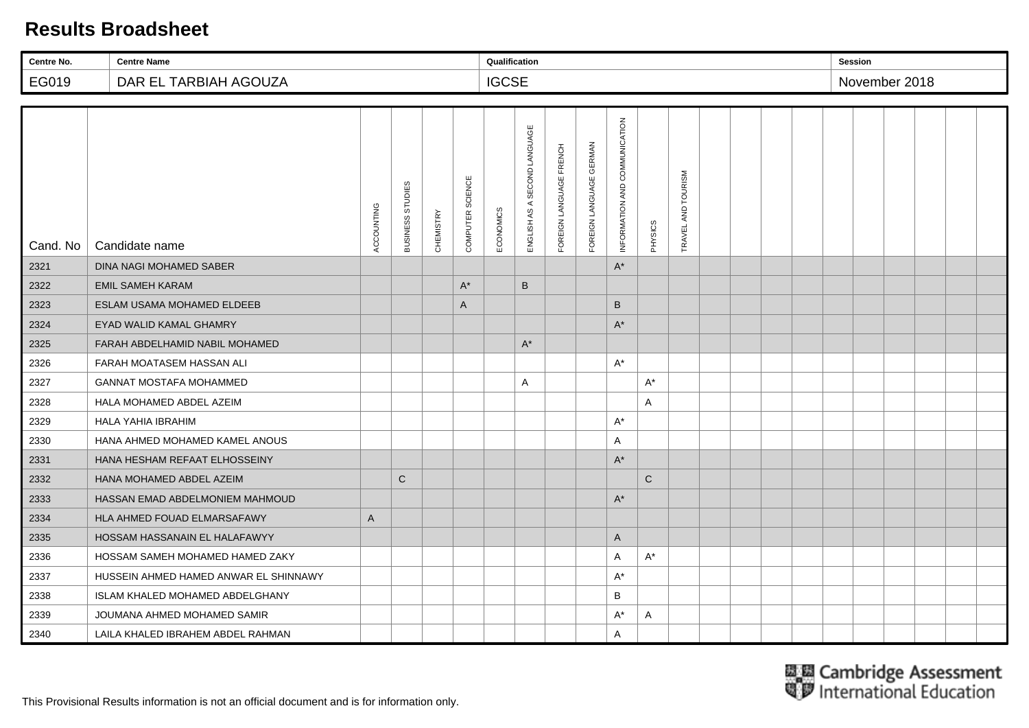| Centre No. | <b>Centre Name</b>                    |              |                  |           |                  | Qualification |                              |                         |                         |                               |              |                    |  |  | <b>Session</b> |  |  |
|------------|---------------------------------------|--------------|------------------|-----------|------------------|---------------|------------------------------|-------------------------|-------------------------|-------------------------------|--------------|--------------------|--|--|----------------|--|--|
| EG019      | DAR EL TARBIAH AGOUZA                 |              |                  |           |                  | <b>IGCSE</b>  |                              |                         |                         |                               |              |                    |  |  | November 2018  |  |  |
|            |                                       |              |                  |           |                  |               |                              |                         |                         |                               |              |                    |  |  |                |  |  |
| Cand. No   | Candidate name                        | ACCOUNTING   | BUSINESS STUDIES | CHEMISTRY | COMPUTER SCIENCE | ECONOMICS     | ENGLISH AS A SECOND LANGUAGE | FOREIGN LANGUAGE FRENCH | FOREIGN LANGUAGE GERMAN | INFORMATION AND COMMUNICATION | PHYSICS      | TRAVEL AND TOURISM |  |  |                |  |  |
| 2321       | DINA NAGI MOHAMED SABER               |              |                  |           |                  |               |                              |                         |                         | $A^*$                         |              |                    |  |  |                |  |  |
| 2322       | <b>EMIL SAMEH KARAM</b>               |              |                  |           | $A^*$            |               | B                            |                         |                         |                               |              |                    |  |  |                |  |  |
| 2323       | ESLAM USAMA MOHAMED ELDEEB            |              |                  |           | A                |               |                              |                         |                         | B                             |              |                    |  |  |                |  |  |
| 2324       | EYAD WALID KAMAL GHAMRY               |              |                  |           |                  |               |                              |                         |                         | $A^*$                         |              |                    |  |  |                |  |  |
| 2325       | FARAH ABDELHAMID NABIL MOHAMED        |              |                  |           |                  |               | $\mathsf{A}^*$               |                         |                         |                               |              |                    |  |  |                |  |  |
| 2326       | FARAH MOATASEM HASSAN ALI             |              |                  |           |                  |               |                              |                         |                         | $A^*$                         |              |                    |  |  |                |  |  |
| 2327       | <b>GANNAT MOSTAFA MOHAMMED</b>        |              |                  |           |                  |               | $\mathsf{A}$                 |                         |                         |                               | $A^*$        |                    |  |  |                |  |  |
| 2328       | HALA MOHAMED ABDEL AZEIM              |              |                  |           |                  |               |                              |                         |                         |                               | A            |                    |  |  |                |  |  |
| 2329       | HALA YAHIA IBRAHIM                    |              |                  |           |                  |               |                              |                         |                         | $A^*$                         |              |                    |  |  |                |  |  |
| 2330       | HANA AHMED MOHAMED KAMEL ANOUS        |              |                  |           |                  |               |                              |                         |                         | A                             |              |                    |  |  |                |  |  |
| 2331       | HANA HESHAM REFAAT ELHOSSEINY         |              |                  |           |                  |               |                              |                         |                         | $\mathsf{A}^*$                |              |                    |  |  |                |  |  |
| 2332       | HANA MOHAMED ABDEL AZEIM              |              | $\mathsf{C}$     |           |                  |               |                              |                         |                         |                               | $\mathsf{C}$ |                    |  |  |                |  |  |
| 2333       | HASSAN EMAD ABDELMONIEM MAHMOUD       |              |                  |           |                  |               |                              |                         |                         | $A^*$                         |              |                    |  |  |                |  |  |
| 2334       | HLA AHMED FOUAD ELMARSAFAWY           | $\mathsf{A}$ |                  |           |                  |               |                              |                         |                         |                               |              |                    |  |  |                |  |  |
| 2335       | HOSSAM HASSANAIN EL HALAFAWYY         |              |                  |           |                  |               |                              |                         |                         | $\mathsf{A}$                  |              |                    |  |  |                |  |  |
| 2336       | HOSSAM SAMEH MOHAMED HAMED ZAKY       |              |                  |           |                  |               |                              |                         |                         | A                             | $A^*$        |                    |  |  |                |  |  |
| 2337       | HUSSEIN AHMED HAMED ANWAR EL SHINNAWY |              |                  |           |                  |               |                              |                         |                         | $A^*$                         |              |                    |  |  |                |  |  |
| 2338       | ISLAM KHALED MOHAMED ABDELGHANY       |              |                  |           |                  |               |                              |                         |                         | В                             |              |                    |  |  |                |  |  |
| 2339       | JOUMANA AHMED MOHAMED SAMIR           |              |                  |           |                  |               |                              |                         |                         | $A^*$                         | Α            |                    |  |  |                |  |  |
| 2340       | LAILA KHALED IBRAHEM ABDEL RAHMAN     |              |                  |           |                  |               |                              |                         |                         | $\mathsf{A}$                  |              |                    |  |  |                |  |  |

This Provisional Results information is not an official document and is for information only.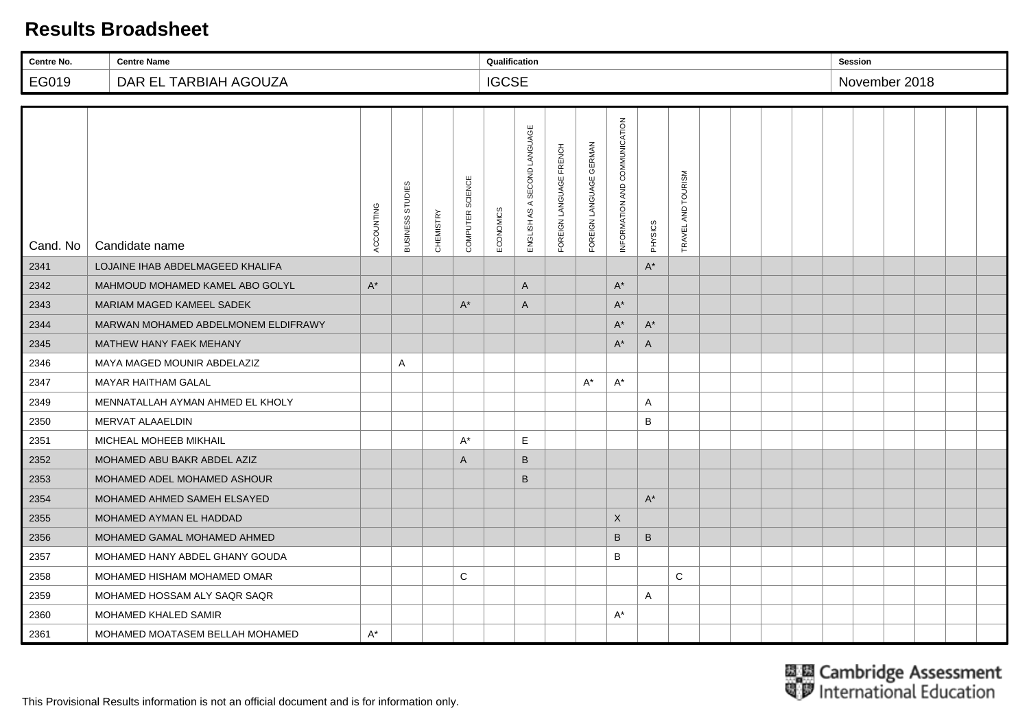| Centre No. | <b>Centre Name</b>                  |            |                  |                  |                  | Qualification |                              |                         |                         |                               |                |                    |  | <b>Session</b> |               |  |  |
|------------|-------------------------------------|------------|------------------|------------------|------------------|---------------|------------------------------|-------------------------|-------------------------|-------------------------------|----------------|--------------------|--|----------------|---------------|--|--|
| EG019      | DAR EL TARBIAH AGOUZA               |            |                  |                  |                  | <b>IGCSE</b>  |                              |                         |                         |                               |                |                    |  |                | November 2018 |  |  |
|            |                                     |            |                  |                  |                  |               |                              |                         |                         |                               |                |                    |  |                |               |  |  |
| Cand. No   | Candidate name                      | ACCOUNTING | BUSINESS STUDIES | <b>CHEMISTRY</b> | COMPUTER SCIENCE | ECONOMICS     | ENGLISH AS A SECOND LANGUAGE | FOREIGN LANGUAGE FRENCH | FOREIGN LANGUAGE GERMAN | INFORMATION AND COMMUNICATION | PHYSICS        | TRAVEL AND TOURISM |  |                |               |  |  |
| 2341       | LOJAINE IHAB ABDELMAGEED KHALIFA    |            |                  |                  |                  |               |                              |                         |                         |                               | $\mathsf{A}^*$ |                    |  |                |               |  |  |
| 2342       | MAHMOUD MOHAMED KAMEL ABO GOLYL     | $A^*$      |                  |                  |                  |               | A                            |                         |                         | $A^*$                         |                |                    |  |                |               |  |  |
| 2343       | MARIAM MAGED KAMEEL SADEK           |            |                  |                  | $A^*$            |               | $\mathsf{A}$                 |                         |                         | $A^*$                         |                |                    |  |                |               |  |  |
| 2344       | MARWAN MOHAMED ABDELMONEM ELDIFRAWY |            |                  |                  |                  |               |                              |                         |                         | $A^*$                         | $A^*$          |                    |  |                |               |  |  |
| 2345       | MATHEW HANY FAEK MEHANY             |            |                  |                  |                  |               |                              |                         |                         | $A^*$                         | A              |                    |  |                |               |  |  |
| 2346       | MAYA MAGED MOUNIR ABDELAZIZ         |            | Α                |                  |                  |               |                              |                         |                         |                               |                |                    |  |                |               |  |  |
| 2347       | <b>MAYAR HAITHAM GALAL</b>          |            |                  |                  |                  |               |                              |                         | $A^*$                   | $A^*$                         |                |                    |  |                |               |  |  |
| 2349       | MENNATALLAH AYMAN AHMED EL KHOLY    |            |                  |                  |                  |               |                              |                         |                         |                               | Α              |                    |  |                |               |  |  |
| 2350       | MERVAT ALAAELDIN                    |            |                  |                  |                  |               |                              |                         |                         |                               | B              |                    |  |                |               |  |  |
| 2351       | MICHEAL MOHEEB MIKHAIL              |            |                  |                  | $A^*$            |               | E                            |                         |                         |                               |                |                    |  |                |               |  |  |
| 2352       | MOHAMED ABU BAKR ABDEL AZIZ         |            |                  |                  | A                |               | $\sf B$                      |                         |                         |                               |                |                    |  |                |               |  |  |
| 2353       | MOHAMED ADEL MOHAMED ASHOUR         |            |                  |                  |                  |               | B                            |                         |                         |                               |                |                    |  |                |               |  |  |
| 2354       | MOHAMED AHMED SAMEH ELSAYED         |            |                  |                  |                  |               |                              |                         |                         |                               | $A^*$          |                    |  |                |               |  |  |
| 2355       | MOHAMED AYMAN EL HADDAD             |            |                  |                  |                  |               |                              |                         |                         | $\mathsf{X}$                  |                |                    |  |                |               |  |  |
| 2356       | MOHAMED GAMAL MOHAMED AHMED         |            |                  |                  |                  |               |                              |                         |                         | B                             | $\sf B$        |                    |  |                |               |  |  |
| 2357       | MOHAMED HANY ABDEL GHANY GOUDA      |            |                  |                  |                  |               |                              |                         |                         | B                             |                |                    |  |                |               |  |  |
| 2358       | MOHAMED HISHAM MOHAMED OMAR         |            |                  |                  | C                |               |                              |                         |                         |                               |                | C                  |  |                |               |  |  |
| 2359       | MOHAMED HOSSAM ALY SAQR SAQR        |            |                  |                  |                  |               |                              |                         |                         |                               | Α              |                    |  |                |               |  |  |
| 2360       | <b>MOHAMED KHALED SAMIR</b>         |            |                  |                  |                  |               |                              |                         |                         | $A^*$                         |                |                    |  |                |               |  |  |
| 2361       | MOHAMED MOATASEM BELLAH MOHAMED     | $A^*$      |                  |                  |                  |               |                              |                         |                         |                               |                |                    |  |                |               |  |  |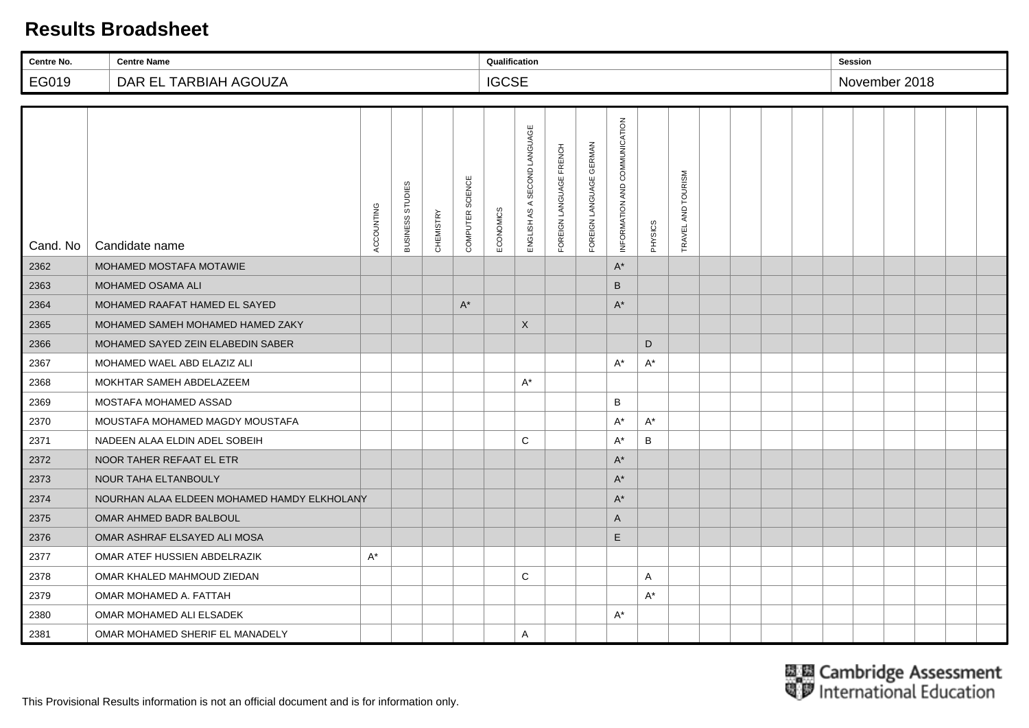| Centre No. | <b>Centre Name</b>                          |            |                  |                  |                  | Qualification |                              |                         |                         |                               |         |                    |  |  | <b>Session</b> |  |  |
|------------|---------------------------------------------|------------|------------------|------------------|------------------|---------------|------------------------------|-------------------------|-------------------------|-------------------------------|---------|--------------------|--|--|----------------|--|--|
| EG019      | DAR EL TARBIAH AGOUZA                       |            |                  |                  |                  | <b>IGCSE</b>  |                              |                         |                         |                               |         |                    |  |  | November 2018  |  |  |
|            |                                             |            |                  |                  |                  |               |                              |                         |                         |                               |         |                    |  |  |                |  |  |
| Cand. No   | Candidate name                              | ACCOUNTING | BUSINESS STUDIES | <b>CHEMISTRY</b> | COMPUTER SCIENCE | ECONOMICS     | ENGLISH AS A SECOND LANGUAGE | FOREIGN LANGUAGE FRENCH | FOREIGN LANGUAGE GERMAN | INFORMATION AND COMMUNICATION | PHYSICS | TRAVEL AND TOURISM |  |  |                |  |  |
| 2362       | MOHAMED MOSTAFA MOTAWIE                     |            |                  |                  |                  |               |                              |                         |                         | $A^*$                         |         |                    |  |  |                |  |  |
| 2363       | <b>MOHAMED OSAMA ALI</b>                    |            |                  |                  |                  |               |                              |                         |                         | B                             |         |                    |  |  |                |  |  |
| 2364       | MOHAMED RAAFAT HAMED EL SAYED               |            |                  |                  | $A^*$            |               |                              |                         |                         | $A^*$                         |         |                    |  |  |                |  |  |
| 2365       | MOHAMED SAMEH MOHAMED HAMED ZAKY            |            |                  |                  |                  |               | X                            |                         |                         |                               |         |                    |  |  |                |  |  |
| 2366       | MOHAMED SAYED ZEIN ELABEDIN SABER           |            |                  |                  |                  |               |                              |                         |                         |                               | D       |                    |  |  |                |  |  |
| 2367       | MOHAMED WAEL ABD ELAZIZ ALI                 |            |                  |                  |                  |               |                              |                         |                         | $A^*$                         | $A^*$   |                    |  |  |                |  |  |
| 2368       | MOKHTAR SAMEH ABDELAZEEM                    |            |                  |                  |                  |               | $A^*$                        |                         |                         |                               |         |                    |  |  |                |  |  |
| 2369       | MOSTAFA MOHAMED ASSAD                       |            |                  |                  |                  |               |                              |                         |                         | B                             |         |                    |  |  |                |  |  |
| 2370       | MOUSTAFA MOHAMED MAGDY MOUSTAFA             |            |                  |                  |                  |               |                              |                         |                         | $A^*$                         | $A^*$   |                    |  |  |                |  |  |
| 2371       | NADEEN ALAA ELDIN ADEL SOBEIH               |            |                  |                  |                  |               | C                            |                         |                         | $A^*$                         | B       |                    |  |  |                |  |  |
| 2372       | NOOR TAHER REFAAT EL ETR                    |            |                  |                  |                  |               |                              |                         |                         | $A^*$                         |         |                    |  |  |                |  |  |
| 2373       | NOUR TAHA ELTANBOULY                        |            |                  |                  |                  |               |                              |                         |                         | $\mathsf{A}^{\star}$          |         |                    |  |  |                |  |  |
| 2374       | NOURHAN ALAA ELDEEN MOHAMED HAMDY ELKHOLANY |            |                  |                  |                  |               |                              |                         |                         | $A^*$                         |         |                    |  |  |                |  |  |
| 2375       | OMAR AHMED BADR BALBOUL                     |            |                  |                  |                  |               |                              |                         |                         | A                             |         |                    |  |  |                |  |  |
| 2376       | OMAR ASHRAF ELSAYED ALI MOSA                |            |                  |                  |                  |               |                              |                         |                         | Ε                             |         |                    |  |  |                |  |  |
| 2377       | OMAR ATEF HUSSIEN ABDELRAZIK                | $A^*$      |                  |                  |                  |               |                              |                         |                         |                               |         |                    |  |  |                |  |  |
| 2378       | OMAR KHALED MAHMOUD ZIEDAN                  |            |                  |                  |                  |               | C                            |                         |                         |                               | A       |                    |  |  |                |  |  |
| 2379       | OMAR MOHAMED A. FATTAH                      |            |                  |                  |                  |               |                              |                         |                         |                               | $A^*$   |                    |  |  |                |  |  |
| 2380       | OMAR MOHAMED ALI ELSADEK                    |            |                  |                  |                  |               |                              |                         |                         | $A^*$                         |         |                    |  |  |                |  |  |
| 2381       | OMAR MOHAMED SHERIF EL MANADELY             |            |                  |                  |                  |               | A                            |                         |                         |                               |         |                    |  |  |                |  |  |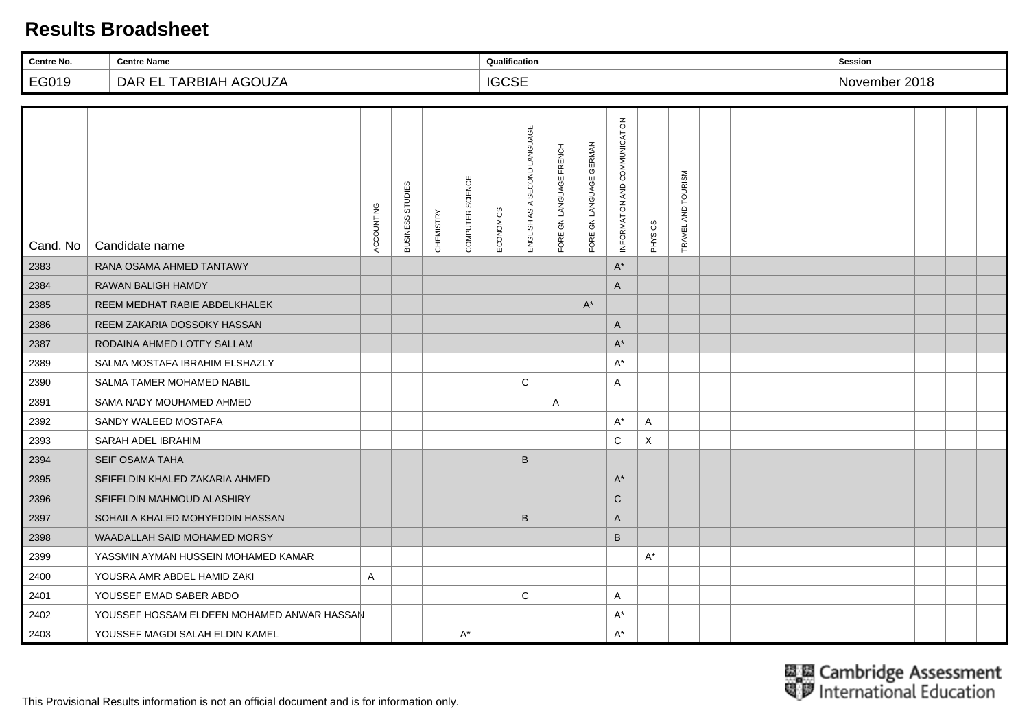| Centre No. | <b>Centre Name</b>                         |            |                  |           |                  | Qualification |                              |                         |                         |                               |         |                    |  |  | <b>Session</b> |  |  |
|------------|--------------------------------------------|------------|------------------|-----------|------------------|---------------|------------------------------|-------------------------|-------------------------|-------------------------------|---------|--------------------|--|--|----------------|--|--|
| EG019      | DAR EL TARBIAH AGOUZA                      |            |                  |           |                  | <b>IGCSE</b>  |                              |                         |                         |                               |         |                    |  |  | November 2018  |  |  |
|            |                                            |            |                  |           |                  |               |                              |                         |                         |                               |         |                    |  |  |                |  |  |
| Cand. No   | Candidate name                             | ACCOUNTING | BUSINESS STUDIES | CHEMISTRY | COMPUTER SCIENCE | ECONOMICS     | ENGLISH AS A SECOND LANGUAGE | FOREIGN LANGUAGE FRENCH | FOREIGN LANGUAGE GERMAN | INFORMATION AND COMMUNICATION | PHYSICS | TRAVEL AND TOURISM |  |  |                |  |  |
| 2383       | RANA OSAMA AHMED TANTAWY                   |            |                  |           |                  |               |                              |                         |                         | $A^*$                         |         |                    |  |  |                |  |  |
| 2384       | <b>RAWAN BALIGH HAMDY</b>                  |            |                  |           |                  |               |                              |                         |                         | A                             |         |                    |  |  |                |  |  |
| 2385       | REEM MEDHAT RABIE ABDELKHALEK              |            |                  |           |                  |               |                              |                         | $A^*$                   |                               |         |                    |  |  |                |  |  |
| 2386       | REEM ZAKARIA DOSSOKY HASSAN                |            |                  |           |                  |               |                              |                         |                         | A                             |         |                    |  |  |                |  |  |
| 2387       | RODAINA AHMED LOTFY SALLAM                 |            |                  |           |                  |               |                              |                         |                         | $A^*$                         |         |                    |  |  |                |  |  |
| 2389       | SALMA MOSTAFA IBRAHIM ELSHAZLY             |            |                  |           |                  |               |                              |                         |                         | $A^*$                         |         |                    |  |  |                |  |  |
| 2390       | SALMA TAMER MOHAMED NABIL                  |            |                  |           |                  |               | C                            |                         |                         | A                             |         |                    |  |  |                |  |  |
| 2391       | SAMA NADY MOUHAMED AHMED                   |            |                  |           |                  |               |                              | A                       |                         |                               |         |                    |  |  |                |  |  |
| 2392       | SANDY WALEED MOSTAFA                       |            |                  |           |                  |               |                              |                         |                         | $A^*$                         | Α       |                    |  |  |                |  |  |
| 2393       | SARAH ADEL IBRAHIM                         |            |                  |           |                  |               |                              |                         |                         | C                             | X       |                    |  |  |                |  |  |
| 2394       | <b>SEIF OSAMA TAHA</b>                     |            |                  |           |                  |               | B                            |                         |                         |                               |         |                    |  |  |                |  |  |
| 2395       | SEIFELDIN KHALED ZAKARIA AHMED             |            |                  |           |                  |               |                              |                         |                         | $A^*$                         |         |                    |  |  |                |  |  |
| 2396       | SEIFELDIN MAHMOUD ALASHIRY                 |            |                  |           |                  |               |                              |                         |                         | C                             |         |                    |  |  |                |  |  |
| 2397       | SOHAILA KHALED MOHYEDDIN HASSAN            |            |                  |           |                  |               | B                            |                         |                         | A                             |         |                    |  |  |                |  |  |
| 2398       | WAADALLAH SAID MOHAMED MORSY               |            |                  |           |                  |               |                              |                         |                         | B                             |         |                    |  |  |                |  |  |
| 2399       | YASSMIN AYMAN HUSSEIN MOHAMED KAMAR        |            |                  |           |                  |               |                              |                         |                         |                               | $A^*$   |                    |  |  |                |  |  |
| 2400       | YOUSRA AMR ABDEL HAMID ZAKI                | A          |                  |           |                  |               |                              |                         |                         |                               |         |                    |  |  |                |  |  |
| 2401       | YOUSSEF EMAD SABER ABDO                    |            |                  |           |                  |               | C                            |                         |                         | Α                             |         |                    |  |  |                |  |  |
| 2402       | YOUSSEF HOSSAM ELDEEN MOHAMED ANWAR HASSAN |            |                  |           |                  |               |                              |                         |                         | $A^*$                         |         |                    |  |  |                |  |  |
| 2403       | YOUSSEF MAGDI SALAH ELDIN KAMEL            |            |                  |           | $A^*$            |               |                              |                         |                         | $A^*$                         |         |                    |  |  |                |  |  |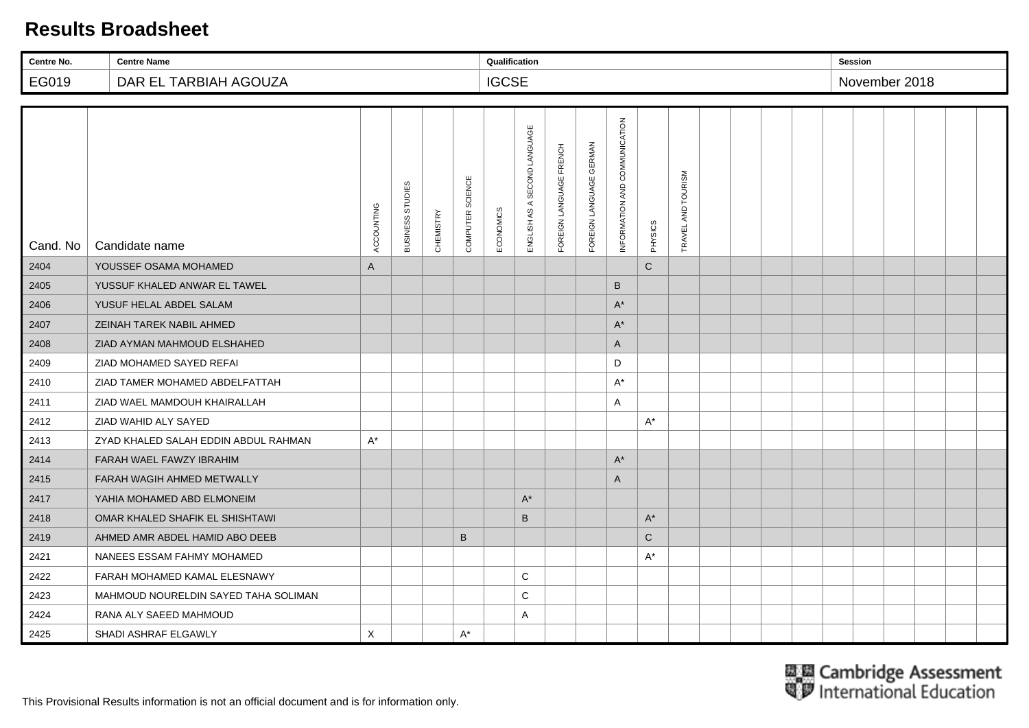| Centre No. | <b>Centre Name</b>                   |              |                  |                  |                  | Qualification |                              |                         |                         |                               |              |                    |  |  | <b>Session</b> |  |  |
|------------|--------------------------------------|--------------|------------------|------------------|------------------|---------------|------------------------------|-------------------------|-------------------------|-------------------------------|--------------|--------------------|--|--|----------------|--|--|
| EG019      | DAR EL TARBIAH AGOUZA                |              |                  |                  |                  | <b>IGCSE</b>  |                              |                         |                         |                               |              |                    |  |  | November 2018  |  |  |
|            |                                      |              |                  |                  |                  |               |                              |                         |                         |                               |              |                    |  |  |                |  |  |
| Cand. No   | Candidate name                       | ACCOUNTING   | BUSINESS STUDIES | <b>CHEMISTRY</b> | COMPUTER SCIENCE | ECONOMICS     | ENGLISH AS A SECOND LANGUAGE | FOREIGN LANGUAGE FRENCH | FOREIGN LANGUAGE GERMAN | INFORMATION AND COMMUNICATION | PHYSICS      | TRAVEL AND TOURISM |  |  |                |  |  |
| 2404       | YOUSSEF OSAMA MOHAMED                | $\mathsf{A}$ |                  |                  |                  |               |                              |                         |                         |                               | $\mathsf{C}$ |                    |  |  |                |  |  |
| 2405       | YUSSUF KHALED ANWAR EL TAWEL         |              |                  |                  |                  |               |                              |                         |                         | B                             |              |                    |  |  |                |  |  |
| 2406       | YUSUF HELAL ABDEL SALAM              |              |                  |                  |                  |               |                              |                         |                         | $A^*$                         |              |                    |  |  |                |  |  |
| 2407       | ZEINAH TAREK NABIL AHMED             |              |                  |                  |                  |               |                              |                         |                         | $A^*$                         |              |                    |  |  |                |  |  |
| 2408       | ZIAD AYMAN MAHMOUD ELSHAHED          |              |                  |                  |                  |               |                              |                         |                         | $\mathsf{A}$                  |              |                    |  |  |                |  |  |
| 2409       | ZIAD MOHAMED SAYED REFAI             |              |                  |                  |                  |               |                              |                         |                         | D                             |              |                    |  |  |                |  |  |
| 2410       | ZIAD TAMER MOHAMED ABDELFATTAH       |              |                  |                  |                  |               |                              |                         |                         | $A^*$                         |              |                    |  |  |                |  |  |
| 2411       | ZIAD WAEL MAMDOUH KHAIRALLAH         |              |                  |                  |                  |               |                              |                         |                         | A                             |              |                    |  |  |                |  |  |
| 2412       | ZIAD WAHID ALY SAYED                 |              |                  |                  |                  |               |                              |                         |                         |                               | $A^*$        |                    |  |  |                |  |  |
| 2413       | ZYAD KHALED SALAH EDDIN ABDUL RAHMAN | $A^*$        |                  |                  |                  |               |                              |                         |                         |                               |              |                    |  |  |                |  |  |
| 2414       | FARAH WAEL FAWZY IBRAHIM             |              |                  |                  |                  |               |                              |                         |                         | $A^*$                         |              |                    |  |  |                |  |  |
| 2415       | FARAH WAGIH AHMED METWALLY           |              |                  |                  |                  |               |                              |                         |                         | $\mathsf{A}$                  |              |                    |  |  |                |  |  |
| 2417       | YAHIA MOHAMED ABD ELMONEIM           |              |                  |                  |                  |               | $A^*$                        |                         |                         |                               |              |                    |  |  |                |  |  |
| 2418       | OMAR KHALED SHAFIK EL SHISHTAWI      |              |                  |                  |                  |               | B                            |                         |                         |                               | $A^*$        |                    |  |  |                |  |  |
| 2419       | AHMED AMR ABDEL HAMID ABO DEEB       |              |                  |                  | $\mathsf B$      |               |                              |                         |                         |                               | $\mathsf{C}$ |                    |  |  |                |  |  |
| 2421       | NANEES ESSAM FAHMY MOHAMED           |              |                  |                  |                  |               |                              |                         |                         |                               | $A^*$        |                    |  |  |                |  |  |
| 2422       | FARAH MOHAMED KAMAL ELESNAWY         |              |                  |                  |                  |               | C                            |                         |                         |                               |              |                    |  |  |                |  |  |
| 2423       | MAHMOUD NOURELDIN SAYED TAHA SOLIMAN |              |                  |                  |                  |               | C                            |                         |                         |                               |              |                    |  |  |                |  |  |
| 2424       | RANA ALY SAEED MAHMOUD               |              |                  |                  |                  |               | A                            |                         |                         |                               |              |                    |  |  |                |  |  |
| 2425       | SHADI ASHRAF ELGAWLY                 | X            |                  |                  | $A^*$            |               |                              |                         |                         |                               |              |                    |  |  |                |  |  |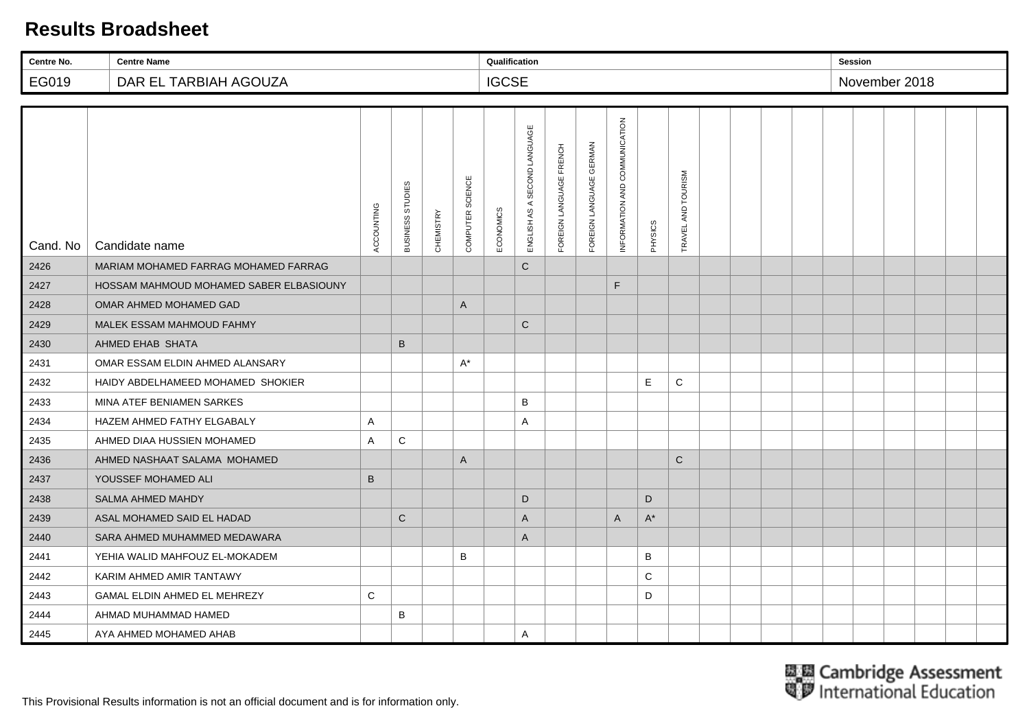| Centre No. | <b>Centre Name</b>                      |              |                  |                  |                  | Qualification |                              |                         |                         |                               |         |                    |  |  | <b>Session</b> |               |  |  |
|------------|-----------------------------------------|--------------|------------------|------------------|------------------|---------------|------------------------------|-------------------------|-------------------------|-------------------------------|---------|--------------------|--|--|----------------|---------------|--|--|
| EG019      | DAR EL TARBIAH AGOUZA                   |              |                  |                  |                  | <b>IGCSE</b>  |                              |                         |                         |                               |         |                    |  |  |                | November 2018 |  |  |
|            |                                         |              |                  |                  |                  |               |                              |                         |                         |                               |         |                    |  |  |                |               |  |  |
| Cand. No   | Candidate name                          | ACCOUNTING   | BUSINESS STUDIES | <b>CHEMISTRY</b> | COMPUTER SCIENCE | ECONOMICS     | ENGLISH AS A SECOND LANGUAGE | FOREIGN LANGUAGE FRENCH | FOREIGN LANGUAGE GERMAN | INFORMATION AND COMMUNICATION | PHYSICS | TRAVEL AND TOURISM |  |  |                |               |  |  |
| 2426       | MARIAM MOHAMED FARRAG MOHAMED FARRAG    |              |                  |                  |                  |               | $\mathsf{C}$                 |                         |                         |                               |         |                    |  |  |                |               |  |  |
| 2427       | HOSSAM MAHMOUD MOHAMED SABER ELBASIOUNY |              |                  |                  |                  |               |                              |                         |                         | F                             |         |                    |  |  |                |               |  |  |
| 2428       | OMAR AHMED MOHAMED GAD                  |              |                  |                  | A                |               |                              |                         |                         |                               |         |                    |  |  |                |               |  |  |
| 2429       | MALEK ESSAM MAHMOUD FAHMY               |              |                  |                  |                  |               | $\mathsf{C}$                 |                         |                         |                               |         |                    |  |  |                |               |  |  |
| 2430       | AHMED EHAB SHATA                        |              | B                |                  |                  |               |                              |                         |                         |                               |         |                    |  |  |                |               |  |  |
| 2431       | OMAR ESSAM ELDIN AHMED ALANSARY         |              |                  |                  | $A^*$            |               |                              |                         |                         |                               |         |                    |  |  |                |               |  |  |
| 2432       | HAIDY ABDELHAMEED MOHAMED SHOKIER       |              |                  |                  |                  |               |                              |                         |                         |                               | E       | C                  |  |  |                |               |  |  |
| 2433       | MINA ATEF BENIAMEN SARKES               |              |                  |                  |                  |               | B                            |                         |                         |                               |         |                    |  |  |                |               |  |  |
| 2434       | HAZEM AHMED FATHY ELGABALY              | A            |                  |                  |                  |               | A                            |                         |                         |                               |         |                    |  |  |                |               |  |  |
| 2435       | AHMED DIAA HUSSIEN MOHAMED              | $\mathsf{A}$ | C                |                  |                  |               |                              |                         |                         |                               |         |                    |  |  |                |               |  |  |
| 2436       | AHMED NASHAAT SALAMA MOHAMED            |              |                  |                  | A                |               |                              |                         |                         |                               |         | $\mathsf C$        |  |  |                |               |  |  |
| 2437       | YOUSSEF MOHAMED ALI                     | B            |                  |                  |                  |               |                              |                         |                         |                               |         |                    |  |  |                |               |  |  |
| 2438       | <b>SALMA AHMED MAHDY</b>                |              |                  |                  |                  |               | D                            |                         |                         |                               | D       |                    |  |  |                |               |  |  |
| 2439       | ASAL MOHAMED SAID EL HADAD              |              | $\mathbf C$      |                  |                  |               | $\mathsf{A}$                 |                         |                         | A                             | $A^*$   |                    |  |  |                |               |  |  |
| 2440       | SARA AHMED MUHAMMED MEDAWARA            |              |                  |                  |                  |               | $\mathsf{A}$                 |                         |                         |                               |         |                    |  |  |                |               |  |  |
| 2441       | YEHIA WALID MAHFOUZ EL-MOKADEM          |              |                  |                  | B                |               |                              |                         |                         |                               | B       |                    |  |  |                |               |  |  |
| 2442       | KARIM AHMED AMIR TANTAWY                |              |                  |                  |                  |               |                              |                         |                         |                               | C       |                    |  |  |                |               |  |  |
| 2443       | GAMAL ELDIN AHMED EL MEHREZY            | C            |                  |                  |                  |               |                              |                         |                         |                               | D       |                    |  |  |                |               |  |  |
| 2444       | AHMAD MUHAMMAD HAMED                    |              | B                |                  |                  |               |                              |                         |                         |                               |         |                    |  |  |                |               |  |  |
| 2445       | AYA AHMED MOHAMED AHAB                  |              |                  |                  |                  |               | A                            |                         |                         |                               |         |                    |  |  |                |               |  |  |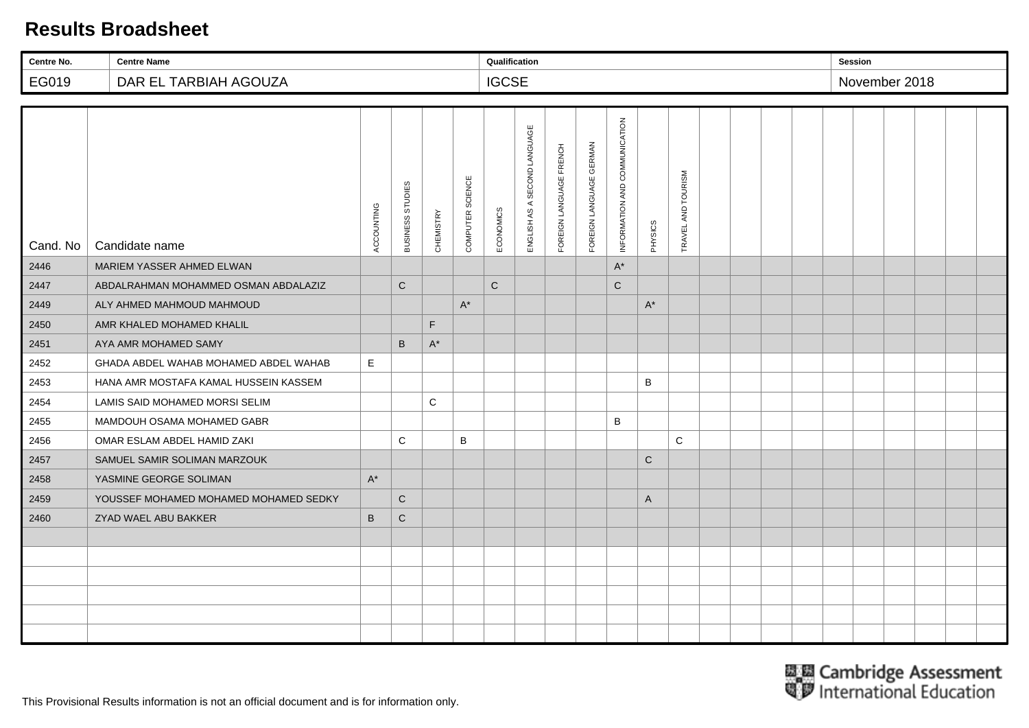| Centre No. | <b>Centre Name</b>                    |              |                  |                      |                  | Qualification |                              |                         |                         |                               |             |                    |  |  | <b>Session</b> |               |  |  |
|------------|---------------------------------------|--------------|------------------|----------------------|------------------|---------------|------------------------------|-------------------------|-------------------------|-------------------------------|-------------|--------------------|--|--|----------------|---------------|--|--|
| EG019      | DAR EL TARBIAH AGOUZA                 |              |                  |                      |                  | <b>IGCSE</b>  |                              |                         |                         |                               |             |                    |  |  |                | November 2018 |  |  |
|            |                                       |              |                  |                      |                  |               |                              |                         |                         |                               |             |                    |  |  |                |               |  |  |
| Cand. No   | Candidate name                        | ACCOUNTING   | BUSINESS STUDIES | CHEMISTRY            | COMPUTER SCIENCE | ECONOMICS     | ENGLISH AS A SECOND LANGUAGE | FOREIGN LANGUAGE FRENCH | FOREIGN LANGUAGE GERMAN | INFORMATION AND COMMUNICATION | PHYSICS     | TRAVEL AND TOURISM |  |  |                |               |  |  |
| 2446       | MARIEM YASSER AHMED ELWAN             |              |                  |                      |                  |               |                              |                         |                         | $A^*$                         |             |                    |  |  |                |               |  |  |
| 2447       | ABDALRAHMAN MOHAMMED OSMAN ABDALAZIZ  |              | $\mathsf C$      |                      |                  | $\mathbf C$   |                              |                         |                         | ${\bf C}$                     |             |                    |  |  |                |               |  |  |
| 2449       | ALY AHMED MAHMOUD MAHMOUD             |              |                  |                      | $A^*$            |               |                              |                         |                         |                               | $A^*$       |                    |  |  |                |               |  |  |
| 2450       | AMR KHALED MOHAMED KHALIL             |              |                  | F                    |                  |               |                              |                         |                         |                               |             |                    |  |  |                |               |  |  |
| 2451       | AYA AMR MOHAMED SAMY                  |              | $\sf B$          | $\mathsf{A}^{\star}$ |                  |               |                              |                         |                         |                               |             |                    |  |  |                |               |  |  |
| 2452       | GHADA ABDEL WAHAB MOHAMED ABDEL WAHAB | E            |                  |                      |                  |               |                              |                         |                         |                               |             |                    |  |  |                |               |  |  |
| 2453       | HANA AMR MOSTAFA KAMAL HUSSEIN KASSEM |              |                  |                      |                  |               |                              |                         |                         |                               | B           |                    |  |  |                |               |  |  |
| 2454       | LAMIS SAID MOHAMED MORSI SELIM        |              |                  | C                    |                  |               |                              |                         |                         |                               |             |                    |  |  |                |               |  |  |
| 2455       | MAMDOUH OSAMA MOHAMED GABR            |              |                  |                      |                  |               |                              |                         |                         | B                             |             |                    |  |  |                |               |  |  |
| 2456       | OMAR ESLAM ABDEL HAMID ZAKI           |              | $\mathsf{C}$     |                      | B                |               |                              |                         |                         |                               |             | $\mathbf C$        |  |  |                |               |  |  |
| 2457       | SAMUEL SAMIR SOLIMAN MARZOUK          |              |                  |                      |                  |               |                              |                         |                         |                               | $\mathbf C$ |                    |  |  |                |               |  |  |
| 2458       | YASMINE GEORGE SOLIMAN                | $A^*$        |                  |                      |                  |               |                              |                         |                         |                               |             |                    |  |  |                |               |  |  |
| 2459       | YOUSSEF MOHAMED MOHAMED MOHAMED SEDKY |              | $\mathbf C$      |                      |                  |               |                              |                         |                         |                               | A           |                    |  |  |                |               |  |  |
| 2460       | ZYAD WAEL ABU BAKKER                  | $\, {\bf B}$ | $\mathsf C$      |                      |                  |               |                              |                         |                         |                               |             |                    |  |  |                |               |  |  |
|            |                                       |              |                  |                      |                  |               |                              |                         |                         |                               |             |                    |  |  |                |               |  |  |
|            |                                       |              |                  |                      |                  |               |                              |                         |                         |                               |             |                    |  |  |                |               |  |  |
|            |                                       |              |                  |                      |                  |               |                              |                         |                         |                               |             |                    |  |  |                |               |  |  |
|            |                                       |              |                  |                      |                  |               |                              |                         |                         |                               |             |                    |  |  |                |               |  |  |
|            |                                       |              |                  |                      |                  |               |                              |                         |                         |                               |             |                    |  |  |                |               |  |  |
|            |                                       |              |                  |                      |                  |               |                              |                         |                         |                               |             |                    |  |  |                |               |  |  |